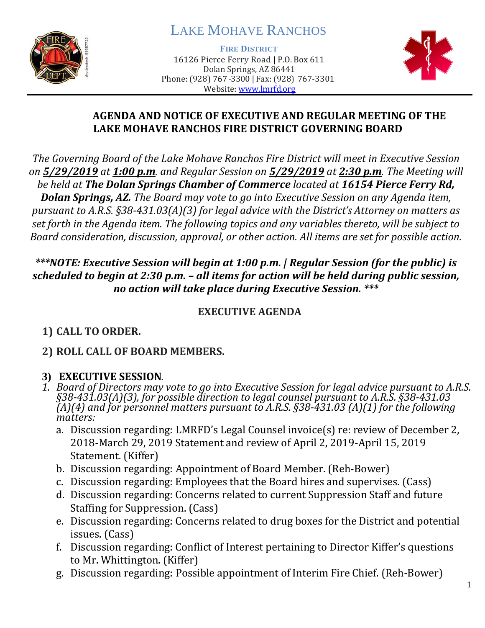

# LAKE MOHAVE RANCHOS

**FIRE DISTRICT**

16126 Pierce Ferry Road | P.O. Box 611 Dolan Springs, AZ 86441 Phone: (928) 767-3300 | Fax: (928) 767-3301 Website: [www.lmrfd.org](http://www.lmrfd.org/)



#### **AGENDA AND NOTICE OF EXECUTIVE AND REGULAR MEETING OF THE LAKE MOHAVE RANCHOS FIRE DISTRICT GOVERNING BOARD**

*The Governing Board of the Lake Mohave Ranchos Fire District will meet in Executive Session on 5/29/2019 at 1:00 p.m. and Regular Session on 5/29/2019 at 2:30 p.m. The Meeting will be held at The Dolan Springs Chamber of Commerce located at 16154 Pierce Ferry Rd, Dolan Springs, AZ. The Board may vote to go into Executive Session on any Agenda item, pursuant to A.R.S. §38-431.03(A)(3) for legal advice with the District's Attorney on matters as set forth in the Agenda item. The following topics and any variables thereto, will be subject to Board consideration, discussion, approval, or other action. All items are set for possible action.*

#### *\*\*\*NOTE: Executive Session will begin at 1:00 p.m. | Regular Session (for the public) is scheduled to begin at 2:30 p.m. – all items for action will be held during public session, no action will take place during Executive Session. \*\*\**

#### **EXECUTIVE AGENDA**

## **1) CALL TO ORDER.**

## **2) ROLL CALL OF BOARD MEMBERS.**

#### **3) EXECUTIVE SESSION***.*

- *1. Board of Directors may vote to go into Executive Session for legal advice pursuant to A.R.S. §38-431.03(A)(3), for possible direction to legal counsel pursuant to A.R.S. §38-431.03 (A)(4) and for personnel matters pursuant to A.R.S. §38-431.03 (A)(1) for the following matters:*
	- a. Discussion regarding: LMRFD's Legal Counsel invoice(s) re: review of December 2, 2018-March 29, 2019 Statement and review of April 2, 2019-April 15, 2019 Statement. (Kiffer)
	- b. Discussion regarding: Appointment of Board Member. (Reh-Bower)
	- c. Discussion regarding: Employees that the Board hires and supervises. (Cass)
	- d. Discussion regarding: Concerns related to current Suppression Staff and future Staffing for Suppression. (Cass)
	- e. Discussion regarding: Concerns related to drug boxes for the District and potential issues. (Cass)
	- f. Discussion regarding: Conflict of Interest pertaining to Director Kiffer's questions to Mr. Whittington. (Kiffer)
	- g. Discussion regarding: Possible appointment of Interim Fire Chief. (Reh-Bower)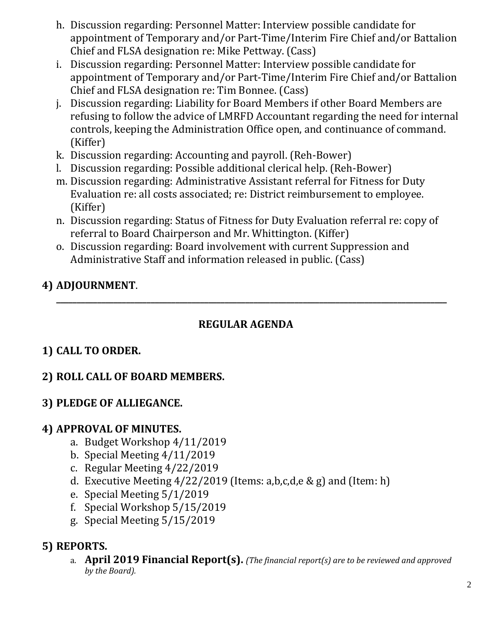- h. Discussion regarding: Personnel Matter: Interview possible candidate for appointment of Temporary and/or Part-Time/Interim Fire Chief and/or Battalion Chief and FLSA designation re: Mike Pettway. (Cass)
- i. Discussion regarding: Personnel Matter: Interview possible candidate for appointment of Temporary and/or Part-Time/Interim Fire Chief and/or Battalion Chief and FLSA designation re: Tim Bonnee. (Cass)
- j. Discussion regarding: Liability for Board Members if other Board Members are refusing to follow the advice of LMRFD Accountant regarding the need for internal controls, keeping the Administration Office open, and continuance of command. (Kiffer)
- k. Discussion regarding: Accounting and payroll. (Reh-Bower)
- l. Discussion regarding: Possible additional clerical help. (Reh-Bower)
- m. Discussion regarding: Administrative Assistant referral for Fitness for Duty Evaluation re: all costs associated; re: District reimbursement to employee. (Kiffer)
- n. Discussion regarding: Status of Fitness for Duty Evaluation referral re: copy of referral to Board Chairperson and Mr. Whittington. (Kiffer)
- o. Discussion regarding: Board involvement with current Suppression and Administrative Staff and information released in public. (Cass)

## **4) ADJOURNMENT**.

## **REGULAR AGENDA**

**\_\_\_\_\_\_\_\_\_\_\_\_\_\_\_\_\_\_\_\_\_\_\_\_\_\_\_\_\_\_\_\_\_\_\_\_\_\_\_\_\_\_\_\_\_\_\_\_\_\_\_\_\_\_\_\_\_\_\_\_\_\_\_\_\_\_\_\_\_\_\_\_\_\_\_\_\_\_\_\_\_\_\_\_\_\_\_\_\_\_\_\_\_\_\_**

## **1) CALL TO ORDER.**

## **2) ROLL CALL OF BOARD MEMBERS.**

#### **3) PLEDGE OF ALLIEGANCE.**

#### **4) APPROVAL OF MINUTES.**

- a. Budget Workshop 4/11/2019
- b. Special Meeting 4/11/2019
- c. Regular Meeting 4/22/2019
- d. Executive Meeting  $4/22/2019$  (Items: a,b,c,d,e & g) and (Item: h)
- e. Special Meeting 5/1/2019
- f. Special Workshop 5/15/2019
- g. Special Meeting 5/15/2019

## **5) REPORTS.**

a. **April 2019 Financial Report(s).** *(The financial report(s) are to be reviewed and approved by the Board).*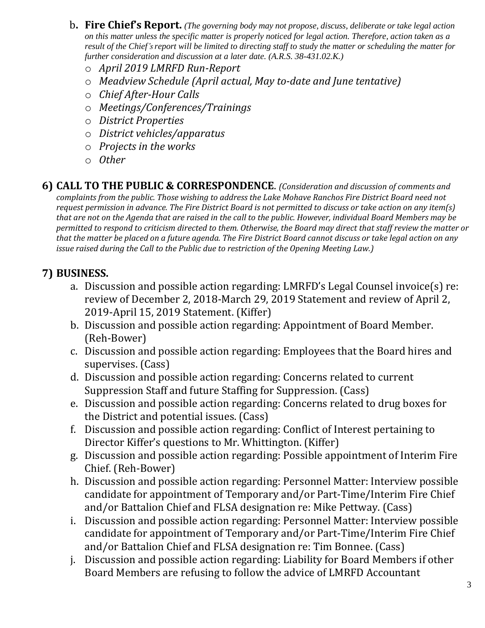- b**. Fire Chief's Report.** *(The governing body may not propose, discuss, deliberate or take legal action on this matter unless the specific matter is properly noticed for legal action. Therefore, action taken as a result of the Chief's report will be limited to directing staff to study the matter or scheduling the matter for further consideration and discussion at a later date. (A.R.S. 38-431.02.K.)*
	- o *April 2019 LMRFD Run-Report*
	- o *Meadview Schedule (April actual, May to-date and June tentative)*
	- o *Chief After-Hour Calls*
	- o *Meetings/Conferences/Trainings*
	- o *District Properties*
	- o *District vehicles/apparatus*
	- o *Projects in the works*
	- o *Other*

**6) CALL TO THE PUBLIC & CORRESPONDENCE**. *(Consideration and discussion of comments and*

*complaints from the public. Those wishing to address the Lake Mohave Ranchos Fire District Board need not request permission in advance. The Fire District Board is not permitted to discuss or take action on any item(s) that are not on the Agenda that are raised in the call to the public. However, individual Board Members may be permitted to respond to criticism directed to them. Otherwise, the Board may direct that staff review the matter or that the matter be placed on a future agenda. The Fire District Board cannot discuss or take legal action on any issue raised during the Call to the Public due to restriction of the Opening Meeting Law.)*

## **7) BUSINESS.**

- a. Discussion and possible action regarding: LMRFD's Legal Counsel invoice(s) re: review of December 2, 2018-March 29, 2019 Statement and review of April 2, 2019-April 15, 2019 Statement. (Kiffer)
- b. Discussion and possible action regarding: Appointment of Board Member. (Reh-Bower)
- c. Discussion and possible action regarding: Employees that the Board hires and supervises. (Cass)
- d. Discussion and possible action regarding: Concerns related to current Suppression Staff and future Staffing for Suppression. (Cass)
- e. Discussion and possible action regarding: Concerns related to drug boxes for the District and potential issues. (Cass)
- f. Discussion and possible action regarding: Conflict of Interest pertaining to Director Kiffer's questions to Mr. Whittington. (Kiffer)
- g. Discussion and possible action regarding: Possible appointment of Interim Fire Chief. (Reh-Bower)
- h. Discussion and possible action regarding: Personnel Matter: Interview possible candidate for appointment of Temporary and/or Part-Time/Interim Fire Chief and/or Battalion Chief and FLSA designation re: Mike Pettway. (Cass)
- i. Discussion and possible action regarding: Personnel Matter: Interview possible candidate for appointment of Temporary and/or Part-Time/Interim Fire Chief and/or Battalion Chief and FLSA designation re: Tim Bonnee. (Cass)
- j. Discussion and possible action regarding: Liability for Board Members if other Board Members are refusing to follow the advice of LMRFD Accountant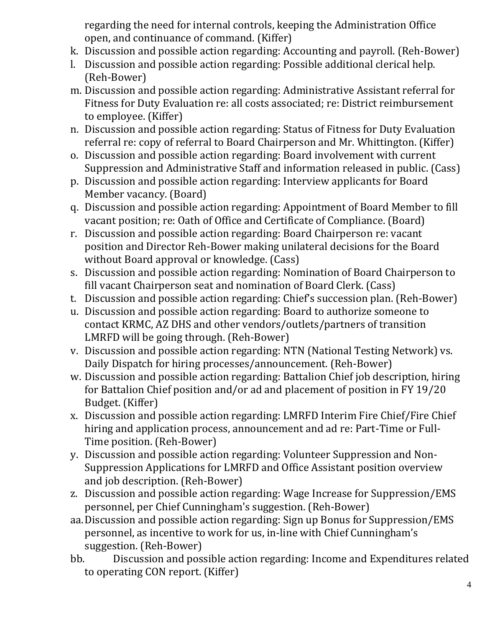regarding the need for internal controls, keeping the Administration Office open, and continuance of command. (Kiffer)

- k. Discussion and possible action regarding: Accounting and payroll. (Reh-Bower)
- l. Discussion and possible action regarding: Possible additional clerical help. (Reh-Bower)
- m. Discussion and possible action regarding: Administrative Assistant referral for Fitness for Duty Evaluation re: all costs associated; re: District reimbursement to employee. (Kiffer)
- n. Discussion and possible action regarding: Status of Fitness for Duty Evaluation referral re: copy of referral to Board Chairperson and Mr. Whittington. (Kiffer)
- o. Discussion and possible action regarding: Board involvement with current Suppression and Administrative Staff and information released in public. (Cass)
- p. Discussion and possible action regarding: Interview applicants for Board Member vacancy. (Board)
- q. Discussion and possible action regarding: Appointment of Board Member to fill vacant position; re: Oath of Office and Certificate of Compliance. (Board)
- r. Discussion and possible action regarding: Board Chairperson re: vacant position and Director Reh-Bower making unilateral decisions for the Board without Board approval or knowledge. (Cass)
- s. Discussion and possible action regarding: Nomination of Board Chairperson to fill vacant Chairperson seat and nomination of Board Clerk. (Cass)
- t. Discussion and possible action regarding: Chief's succession plan. (Reh-Bower)
- u. Discussion and possible action regarding: Board to authorize someone to contact KRMC, AZ DHS and other vendors/outlets/partners of transition LMRFD will be going through. (Reh-Bower)
- v. Discussion and possible action regarding: NTN (National Testing Network) vs. Daily Dispatch for hiring processes/announcement. (Reh-Bower)
- w. Discussion and possible action regarding: Battalion Chief job description, hiring for Battalion Chief position and/or ad and placement of position in FY 19/20 Budget. (Kiffer)
- x. Discussion and possible action regarding: LMRFD Interim Fire Chief/Fire Chief hiring and application process, announcement and ad re: Part-Time or Full-Time position. (Reh-Bower)
- y. Discussion and possible action regarding: Volunteer Suppression and Non-Suppression Applications for LMRFD and Office Assistant position overview and job description. (Reh-Bower)
- z. Discussion and possible action regarding: Wage Increase for Suppression/EMS personnel, per Chief Cunningham's suggestion. (Reh-Bower)
- aa.Discussion and possible action regarding: Sign up Bonus for Suppression/EMS personnel, as incentive to work for us, in-line with Chief Cunningham's suggestion. (Reh-Bower)
- bb. Discussion and possible action regarding: Income and Expenditures related to operating CON report. (Kiffer)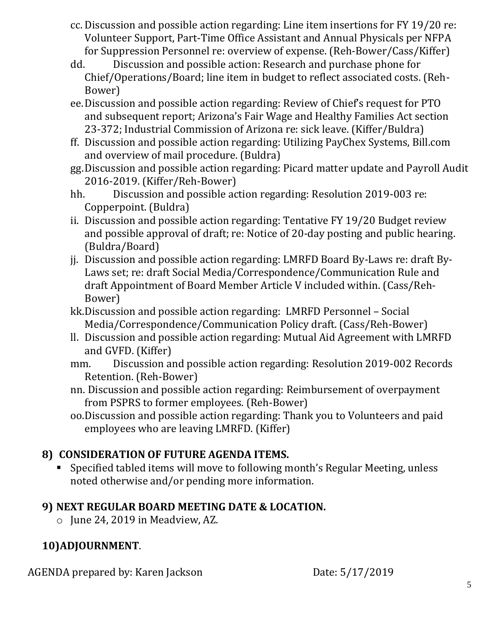- cc. Discussion and possible action regarding: Line item insertions for FY 19/20 re: Volunteer Support, Part-Time Office Assistant and Annual Physicals per NFPA for Suppression Personnel re: overview of expense. (Reh-Bower/Cass/Kiffer)
- dd. Discussion and possible action: Research and purchase phone for Chief/Operations/Board; line item in budget to reflect associated costs. (Reh-Bower)
- ee.Discussion and possible action regarding: Review of Chief's request for PTO and subsequent report; Arizona's Fair Wage and Healthy Families Act section 23-372; Industrial Commission of Arizona re: sick leave. (Kiffer/Buldra)
- ff. Discussion and possible action regarding: Utilizing PayChex Systems, Bill.com and overview of mail procedure. (Buldra)
- gg.Discussion and possible action regarding: Picard matter update and Payroll Audit 2016-2019. (Kiffer/Reh-Bower)
- hh. Discussion and possible action regarding: Resolution 2019-003 re: Copperpoint. (Buldra)
- ii. Discussion and possible action regarding: Tentative FY 19/20 Budget review and possible approval of draft; re: Notice of 20-day posting and public hearing. (Buldra/Board)
- jj. Discussion and possible action regarding: LMRFD Board By-Laws re: draft By-Laws set; re: draft Social Media/Correspondence/Communication Rule and draft Appointment of Board Member Article V included within. (Cass/Reh-Bower)
- kk.Discussion and possible action regarding: LMRFD Personnel Social Media/Correspondence/Communication Policy draft. (Cass/Reh-Bower)
- ll. Discussion and possible action regarding: Mutual Aid Agreement with LMRFD and GVFD. (Kiffer)
- mm. Discussion and possible action regarding: Resolution 2019-002 Records Retention. (Reh-Bower)
- nn. Discussion and possible action regarding: Reimbursement of overpayment from PSPRS to former employees. (Reh-Bower)
- oo.Discussion and possible action regarding: Thank you to Volunteers and paid employees who are leaving LMRFD. (Kiffer)

## **8) CONSIDERATION OF FUTURE AGENDA ITEMS.**

Specified tabled items will move to following month's Regular Meeting, unless noted otherwise and/or pending more information.

## **9) NEXT REGULAR BOARD MEETING DATE & LOCATION.**

o June 24, 2019 in Meadview, AZ.

## **10)ADJOURNMENT**.

AGENDA prepared by: Karen Jackson Date: 5/17/2019